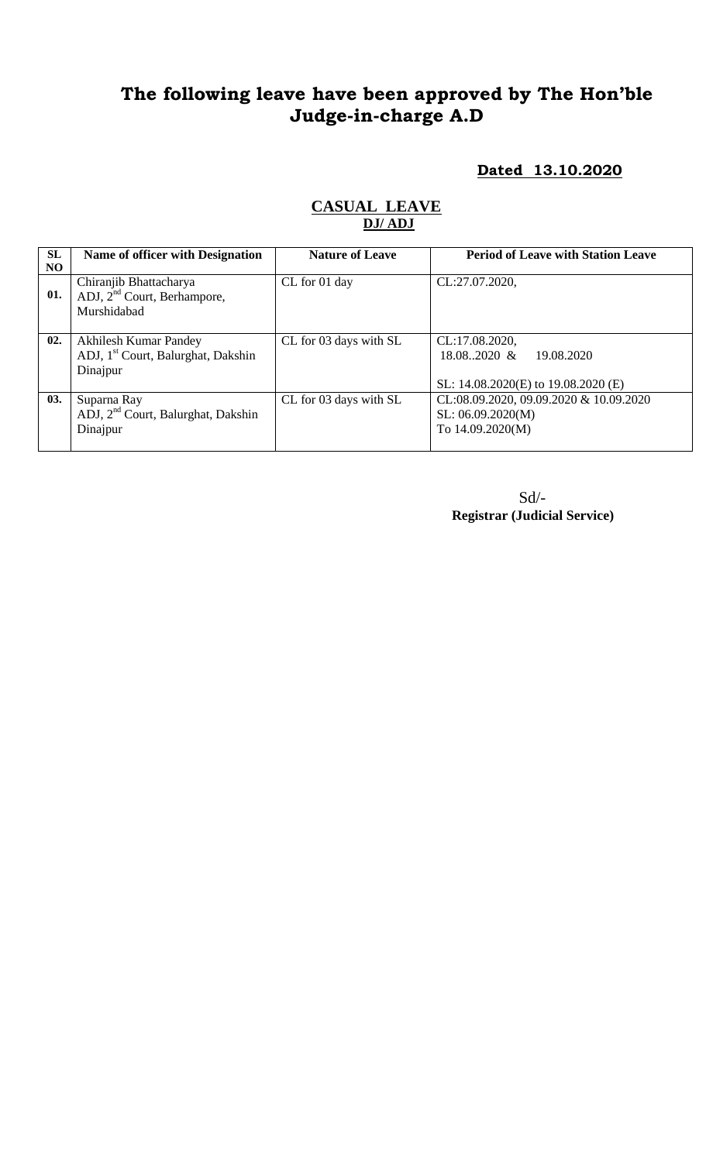# **The following leave have been approved by The Hon'ble Judge-in-charge A.D**

## **Dated 13.10.2020**

| <b>SL</b><br><b>NO</b> | Name of officer with Designation                                                           | <b>Nature of Leave</b> | <b>Period of Leave with Station Leave</b>                                                |
|------------------------|--------------------------------------------------------------------------------------------|------------------------|------------------------------------------------------------------------------------------|
| 01.                    | Chiranjib Bhattacharya<br>ADJ, $2nd$ Court, Berhampore,<br>Murshidabad                     | CL for 01 day          | CL:27.07.2020,                                                                           |
| 02.                    | <b>Akhilesh Kumar Pandey</b><br>ADJ, 1 <sup>st</sup> Court, Balurghat, Dakshin<br>Dinajpur | CL for 03 days with SL | CL:17.08.2020,<br>$18.082020 \&$<br>19.08.2020<br>SL: $14.08.2020(E)$ to $19.08.2020(E)$ |
| 03.                    | Suparna Ray<br>ADJ, 2 <sup>nd</sup> Court, Balurghat, Dakshin<br>Dinajpur                  | CL for 03 days with SL | CL:08.09.2020, 09.09.2020 & 10.09.2020<br>SL: 06.09.2020(M)<br>To 14.09.2020(M)          |

#### **CASUAL LEAVE DJ/ ADJ**

Sd/- **Registrar (Judicial Service)**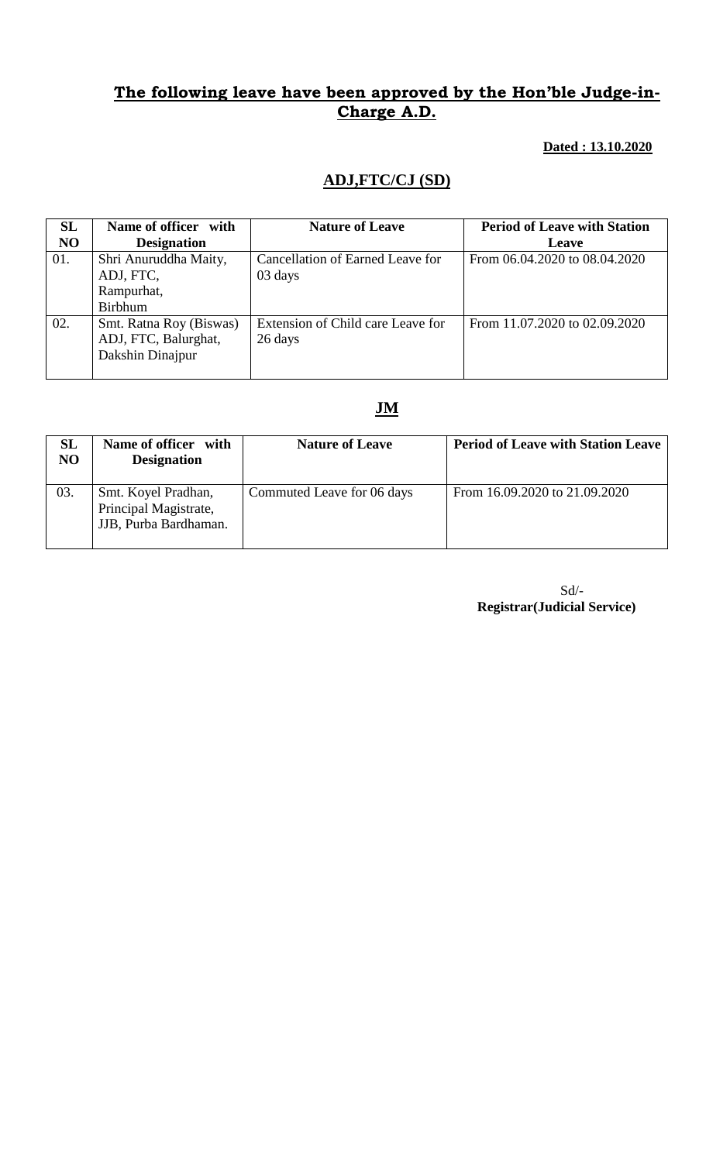#### **The following leave have been approved by the Hon'ble Judge-in-Charge A.D.**

#### **Dated : 13.10.2020**

## **ADJ,FTC/CJ (SD)**

| SL  | Name of officer with                                                | <b>Nature of Leave</b>                       | <b>Period of Leave with Station</b> |
|-----|---------------------------------------------------------------------|----------------------------------------------|-------------------------------------|
| NO  | <b>Designation</b>                                                  |                                              | <b>Leave</b>                        |
| 01. | Shri Anuruddha Maity,<br>ADJ, FTC,                                  | Cancellation of Earned Leave for<br>03 days  | From 06.04.2020 to 08.04.2020       |
|     | Rampurhat,<br><b>Birbhum</b>                                        |                                              |                                     |
| 02. | Smt. Ratna Roy (Biswas)<br>ADJ, FTC, Balurghat,<br>Dakshin Dinajpur | Extension of Child care Leave for<br>26 days | From 11.07.2020 to 02.09.2020       |

## **JM**

| SL<br>N <sub>O</sub> | Name of officer with<br><b>Designation</b>                            | <b>Nature of Leave</b>     | <b>Period of Leave with Station Leave</b> |
|----------------------|-----------------------------------------------------------------------|----------------------------|-------------------------------------------|
| 03.                  | Smt. Koyel Pradhan,<br>Principal Magistrate,<br>JJB, Purba Bardhaman. | Commuted Leave for 06 days | From 16.09.2020 to 21.09.2020             |

Sd/- **Registrar(Judicial Service)**